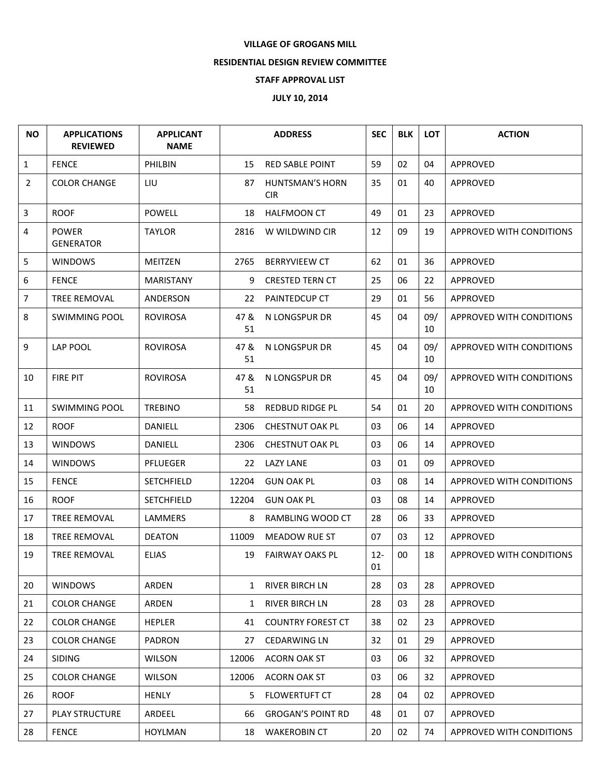## **VILLAGE OF GROGANS MILL**

## **RESIDENTIAL DESIGN REVIEW COMMITTEE**

## **STAFF APPROVAL LIST**

## **JULY 10, 2014**

| <b>NO</b> | <b>APPLICATIONS</b><br><b>REVIEWED</b> | <b>APPLICANT</b><br><b>NAME</b> |              | <b>ADDRESS</b>                       | <b>SEC</b>   | <b>BLK</b> | <b>LOT</b> | <b>ACTION</b>                   |
|-----------|----------------------------------------|---------------------------------|--------------|--------------------------------------|--------------|------------|------------|---------------------------------|
| 1         | <b>FENCE</b>                           | PHILBIN                         | 15           | <b>RED SABLE POINT</b>               | 59           | 02         | 04         | APPROVED                        |
| 2         | <b>COLOR CHANGE</b>                    | LIU                             | 87           | <b>HUNTSMAN'S HORN</b><br><b>CIR</b> | 35           | 01         | 40         | <b>APPROVED</b>                 |
| 3         | <b>ROOF</b>                            | <b>POWELL</b>                   | 18           | <b>HALFMOON CT</b>                   | 49           | 01         | 23         | APPROVED                        |
| 4         | <b>POWER</b><br><b>GENERATOR</b>       | TAYLOR                          | 2816         | W WILDWIND CIR                       | 12           | 09         | 19         | <b>APPROVED WITH CONDITIONS</b> |
| 5         | <b>WINDOWS</b>                         | MEITZEN                         | 2765         | <b>BERRYVIEEW CT</b>                 | 62           | 01         | 36         | APPROVED                        |
| 6         | <b>FENCE</b>                           | MARISTANY                       | 9            | <b>CRESTED TERN CT</b>               | 25           | 06         | 22         | APPROVED                        |
| 7         | TREE REMOVAL                           | ANDERSON                        | 22           | <b>PAINTEDCUP CT</b>                 | 29           | 01         | 56         | APPROVED                        |
| 8         | SWIMMING POOL                          | <b>ROVIROSA</b>                 | 47 &<br>51   | N LONGSPUR DR                        | 45           | 04         | 09/<br>10  | APPROVED WITH CONDITIONS        |
| 9         | <b>LAP POOL</b>                        | <b>ROVIROSA</b>                 | 47 &<br>51   | N LONGSPUR DR                        | 45           | 04         | 09/<br>10  | APPROVED WITH CONDITIONS        |
| 10        | <b>FIRE PIT</b>                        | <b>ROVIROSA</b>                 | 47 &<br>51   | N LONGSPUR DR                        | 45           | 04         | 09/<br>10  | <b>APPROVED WITH CONDITIONS</b> |
| 11        | <b>SWIMMING POOL</b>                   | <b>TREBINO</b>                  | 58           | REDBUD RIDGE PL                      | 54           | 01         | 20         | <b>APPROVED WITH CONDITIONS</b> |
| 12        | <b>ROOF</b>                            | DANIELL                         | 2306         | <b>CHESTNUT OAK PL</b>               | 03           | 06         | 14         | APPROVED                        |
| 13        | <b>WINDOWS</b>                         | DANIELL                         | 2306         | <b>CHESTNUT OAK PL</b>               | 03           | 06         | 14         | APPROVED                        |
| 14        | <b>WINDOWS</b>                         | <b>PFLUEGER</b>                 | 22           | LAZY LANE                            | 03           | 01         | 09         | APPROVED                        |
| 15        | <b>FENCE</b>                           | SETCHFIELD                      | 12204        | <b>GUN OAK PL</b>                    | 03           | 08         | 14         | APPROVED WITH CONDITIONS        |
| 16        | <b>ROOF</b>                            | <b>SETCHFIELD</b>               | 12204        | <b>GUN OAK PL</b>                    | 03           | 08         | 14         | APPROVED                        |
| 17        | TREE REMOVAL                           | <b>LAMMERS</b>                  | 8            | RAMBLING WOOD CT                     | 28           | 06         | 33         | APPROVED                        |
| 18        | TREE REMOVAL                           | <b>DEATON</b>                   | 11009        | <b>MEADOW RUE ST</b>                 | 07           | 03         | 12         | <b>APPROVED</b>                 |
| 19        | <b>TREE REMOVAL</b>                    | <b>ELIAS</b>                    | 19           | <b>FAIRWAY OAKS PL</b>               | $12 -$<br>01 | $00\,$     | 18         | <b>APPROVED WITH CONDITIONS</b> |
| 20        | <b>WINDOWS</b>                         | ARDEN                           | $\mathbf{1}$ | RIVER BIRCH LN                       | 28           | 03         | 28         | APPROVED                        |
| 21        | <b>COLOR CHANGE</b>                    | ARDEN                           | $\mathbf{1}$ | <b>RIVER BIRCH LN</b>                | 28           | 03         | 28         | APPROVED                        |
| 22        | <b>COLOR CHANGE</b>                    | <b>HEPLER</b>                   | 41           | <b>COUNTRY FOREST CT</b>             | 38           | 02         | 23         | <b>APPROVED</b>                 |
| 23        | <b>COLOR CHANGE</b>                    | <b>PADRON</b>                   | 27           | <b>CEDARWING LN</b>                  | 32           | 01         | 29         | APPROVED                        |
| 24        | <b>SIDING</b>                          | <b>WILSON</b>                   | 12006        | <b>ACORN OAK ST</b>                  | 03           | 06         | 32         | <b>APPROVED</b>                 |
| 25        | <b>COLOR CHANGE</b>                    | <b>WILSON</b>                   | 12006        | ACORN OAK ST                         | 03           | 06         | 32         | <b>APPROVED</b>                 |
| 26        | <b>ROOF</b>                            | <b>HENLY</b>                    | 5.           | <b>FLOWERTUFT CT</b>                 | 28           | 04         | 02         | APPROVED                        |
| 27        | PLAY STRUCTURE                         | ARDEEL                          | 66           | <b>GROGAN'S POINT RD</b>             | 48           | 01         | 07         | APPROVED                        |
| 28        | <b>FENCE</b>                           | <b>HOYLMAN</b>                  | 18           | <b>WAKEROBIN CT</b>                  | 20           | 02         | 74         | APPROVED WITH CONDITIONS        |